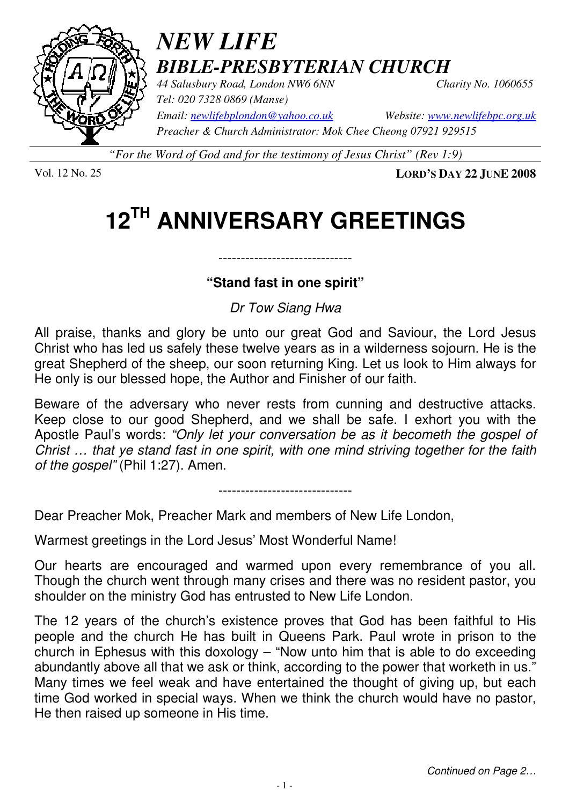

## *NEW LIFE BIBLE-PRESBYTERIAN CHURCH*

*44 Salusbury Road, London NW6 6NN Charity No. 1060655 Tel: 020 7328 0869 (Manse) Preacher & Church Administrator: Mok Chee Cheong 07921 929515* 

*Email: newlifebplondon@yahoo.co.uk Website: www.newlifebpc.org.uk*

*"For the Word of God and for the testimony of Jesus Christ" (Rev 1:9)*

Vol. 12 No. 25 **LORD'S DAY 22 JUNE 2008**

# **12TH ANNIVERSARY GREETINGS**

#### **"Stand fast in one spirit"**

------------------------------

#### Dr Tow Siang Hwa

All praise, thanks and glory be unto our great God and Saviour, the Lord Jesus Christ who has led us safely these twelve years as in a wilderness sojourn. He is the great Shepherd of the sheep, our soon returning King. Let us look to Him always for He only is our blessed hope, the Author and Finisher of our faith.

Beware of the adversary who never rests from cunning and destructive attacks. Keep close to our good Shepherd, and we shall be safe. I exhort you with the Apostle Paul's words: "Only let your conversation be as it becometh the gospel of Christ … that ye stand fast in one spirit, with one mind striving together for the faith of the gospel" (Phil 1:27). Amen.

------------------------------

Dear Preacher Mok, Preacher Mark and members of New Life London,

Warmest greetings in the Lord Jesus' Most Wonderful Name!

Our hearts are encouraged and warmed upon every remembrance of you all. Though the church went through many crises and there was no resident pastor, you shoulder on the ministry God has entrusted to New Life London.

The 12 years of the church's existence proves that God has been faithful to His people and the church He has built in Queens Park. Paul wrote in prison to the church in Ephesus with this doxology – "Now unto him that is able to do exceeding abundantly above all that we ask or think, according to the power that worketh in us." Many times we feel weak and have entertained the thought of giving up, but each time God worked in special ways. When we think the church would have no pastor, He then raised up someone in His time.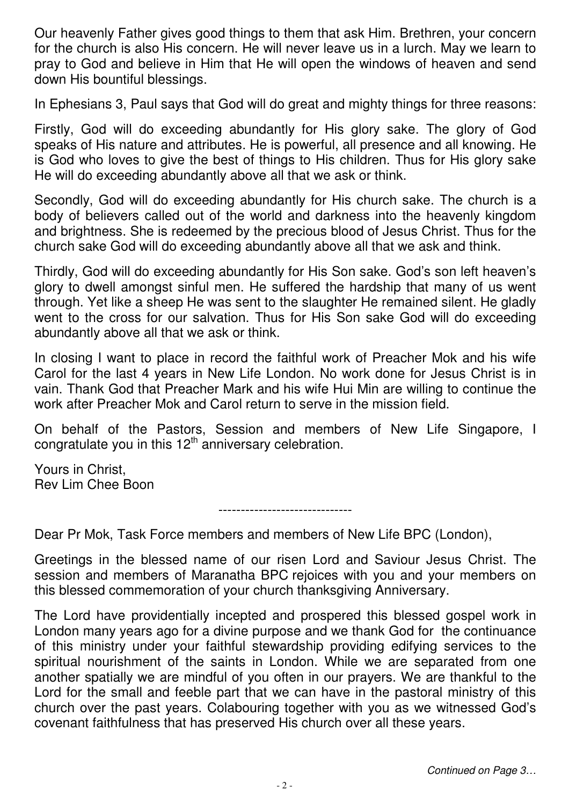Our heavenly Father gives good things to them that ask Him. Brethren, your concern for the church is also His concern. He will never leave us in a lurch. May we learn to pray to God and believe in Him that He will open the windows of heaven and send down His bountiful blessings.

In Ephesians 3, Paul says that God will do great and mighty things for three reasons:

Firstly, God will do exceeding abundantly for His glory sake. The glory of God speaks of His nature and attributes. He is powerful, all presence and all knowing. He is God who loves to give the best of things to His children. Thus for His glory sake He will do exceeding abundantly above all that we ask or think.

Secondly, God will do exceeding abundantly for His church sake. The church is a body of believers called out of the world and darkness into the heavenly kingdom and brightness. She is redeemed by the precious blood of Jesus Christ. Thus for the church sake God will do exceeding abundantly above all that we ask and think.

Thirdly, God will do exceeding abundantly for His Son sake. God's son left heaven's glory to dwell amongst sinful men. He suffered the hardship that many of us went through. Yet like a sheep He was sent to the slaughter He remained silent. He gladly went to the cross for our salvation. Thus for His Son sake God will do exceeding abundantly above all that we ask or think.

In closing I want to place in record the faithful work of Preacher Mok and his wife Carol for the last 4 years in New Life London. No work done for Jesus Christ is in vain. Thank God that Preacher Mark and his wife Hui Min are willing to continue the work after Preacher Mok and Carol return to serve in the mission field.

On behalf of the Pastors, Session and members of New Life Singapore, I congratulate you in this  $12<sup>th</sup>$  anniversary celebration.

Yours in Christ, Rev Lim Chee Boon

------------------------------

Dear Pr Mok, Task Force members and members of New Life BPC (London),

Greetings in the blessed name of our risen Lord and Saviour Jesus Christ. The session and members of Maranatha BPC rejoices with you and your members on this blessed commemoration of your church thanksgiving Anniversary.

The Lord have providentially incepted and prospered this blessed gospel work in London many years ago for a divine purpose and we thank God for the continuance of this ministry under your faithful stewardship providing edifying services to the spiritual nourishment of the saints in London. While we are separated from one another spatially we are mindful of you often in our prayers. We are thankful to the Lord for the small and feeble part that we can have in the pastoral ministry of this church over the past years. Colabouring together with you as we witnessed God's covenant faithfulness that has preserved His church over all these years.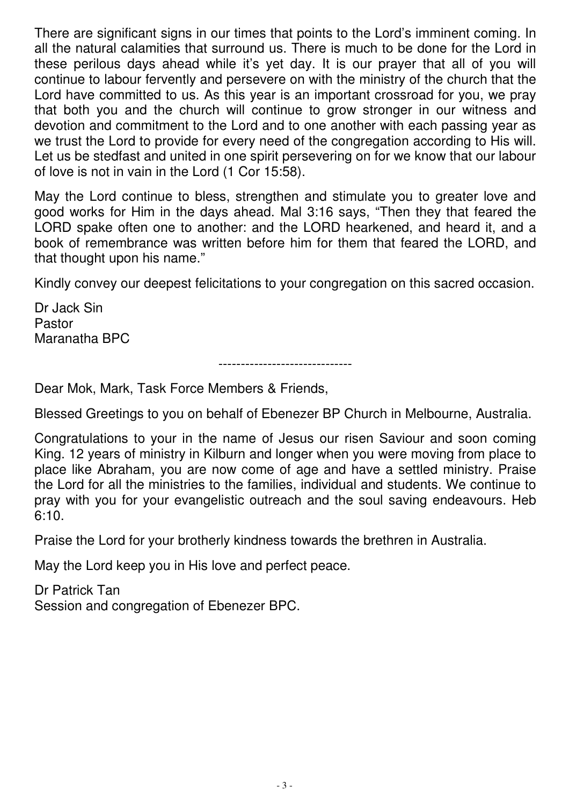There are significant signs in our times that points to the Lord's imminent coming. In all the natural calamities that surround us. There is much to be done for the Lord in these perilous days ahead while it's yet day. It is our prayer that all of you will continue to labour fervently and persevere on with the ministry of the church that the Lord have committed to us. As this year is an important crossroad for you, we pray that both you and the church will continue to grow stronger in our witness and devotion and commitment to the Lord and to one another with each passing year as we trust the Lord to provide for every need of the congregation according to His will. Let us be stedfast and united in one spirit persevering on for we know that our labour of love is not in vain in the Lord (1 Cor 15:58).

May the Lord continue to bless, strengthen and stimulate you to greater love and good works for Him in the days ahead. Mal 3:16 says, "Then they that feared the LORD spake often one to another: and the LORD hearkened, and heard it, and a book of remembrance was written before him for them that feared the LORD, and that thought upon his name."

Kindly convey our deepest felicitations to your congregation on this sacred occasion.

Dr Jack Sin Pastor Maranatha BPC

------------------------------

Dear Mok, Mark, Task Force Members & Friends,

Blessed Greetings to you on behalf of Ebenezer BP Church in Melbourne, Australia.

Congratulations to your in the name of Jesus our risen Saviour and soon coming King. 12 years of ministry in Kilburn and longer when you were moving from place to place like Abraham, you are now come of age and have a settled ministry. Praise the Lord for all the ministries to the families, individual and students. We continue to pray with you for your evangelistic outreach and the soul saving endeavours. Heb 6:10.

Praise the Lord for your brotherly kindness towards the brethren in Australia.

May the Lord keep you in His love and perfect peace.

Dr Patrick Tan Session and congregation of Ebenezer BPC.